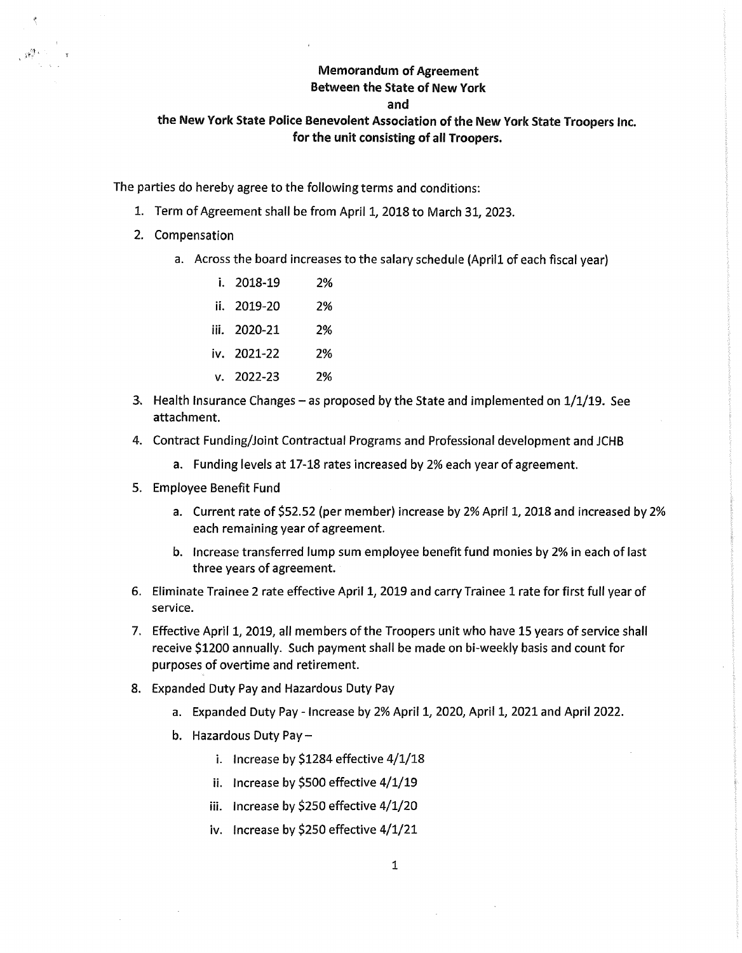## **Memorandum of Agreement**

## **Between the State of New York**

## **and**

## **the New York State Police Benevolent Association of the New York State Troopers Inc. for the unit consisting of all Troopers.**

The parties do hereby agree to the following terms and conditions:

- 1. Term of Agreement shall be from April 1, 2018 to March 31, 2023.
- 2. Compensation

Lyndra 1

a. Across the board increases to the salary schedule (April1 of each fiscal year)

| i. 2018-19     | 2% |
|----------------|----|
| ii. 2019-20    | 2% |
| iii. 2020-21   | 2% |
| iv. 2021-22    | 2% |
| $v. 2022 - 23$ | 2% |

- 3. Health Insurance Changes as proposed by the State and implemented on  $1/1/19$ . See attachment.
- 4. Contract Funding/Joint Contractual Programs and Professional development and JCHB
	- a. Funding levels at 17-18 rates increased by 2% each year of agreement.
- 5. Employee Benefit Fund
	- a. Current rate of \$52.52 (per member) increase by 2% April 1, 2018 and increased by 2% each remaining year of agreement.
	- b. Increase transferred lump sum employee benefit fund monies by 2% in each of last three years of agreement.
- 6. Eliminate Trainee 2 rate effective April 1, 2019 and carry Trainee 1 rate for first full year of service.
- 7. Effective April 1, 2019, all members of the Troopers unit who have 15 years of service shall receive \$1200 annually. Such payment shall be made on bi-weekly basis and count for purposes of overtime and retirement.
- 8. Expanded Duty Pay and Hazardous Duty Pay
	- a. Expanded Duty Pay Increase by 2% April 1, 2020, April 1, 2021 and April 2022.
	- b. Hazardous Duty Pay
		- i. Increase by \$1284 effective 4/1/18
		- ii. Increase by \$500 effective 4/1/19
		- iii. Increase by \$250 effective 4/1/20
		- iv. Increase by \$250 effective 4/1/21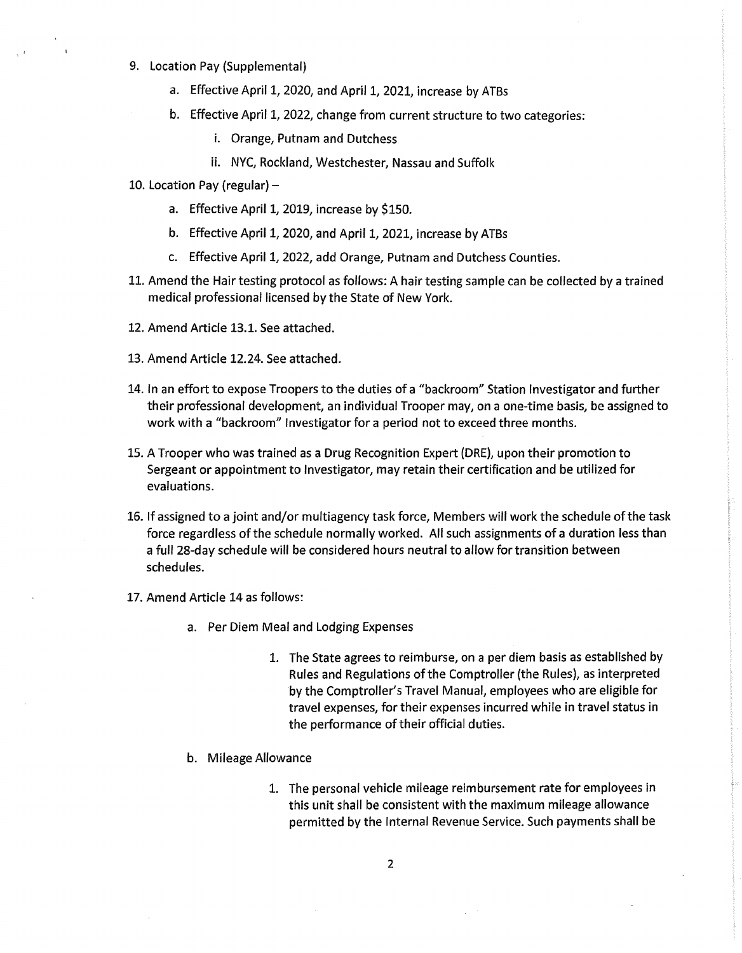- 9. Location Pay (Supplemental)
	- a. Effective April 1, 2020, and April 1, 2021, increase by ATBs
	- b. Effective April 1, 2022, change from current structure to two categories:
		- i. Orange, Putnam and Dutchess
		- ii. NYC, Rockland, Westchester, Nassau and Suffolk
- 10. Location Pay (regular)
	- a. Effective April 1, 2019, increase by \$150.
	- b. Effective April 1, 2020, and April 1, 2021, increase by ATBs
	- c. Effective April 1, 2022, add Orange, Putnam and Dutchess Counties.
- 11. Amend the Hair testing protocol as follows: A hair testing sample can be collected by a trained medical professional licensed by the State of New York.
- 12. Amend Article 13.1. See attached.
- 13. Amend Article 12.24. See attached.
- 14. In an effort to expose Troopers to the duties of a "backroom" Station Investigator and further their professional development, an individual Trooper may, on a one-time basis, be assigned to work with a "backroom" Investigator for a period not to exceed three months.
- 15. A Trooper who was trained as a Drug Recognition Expert (DRE), upon their promotion to Sergeant or appointment to Investigator, may retain their certification and be utilized for evaluations.
- 16. If assigned to a joint and/or multiagency task force, Members will work the schedule of the task force regardless of the schedule normally worked. All such assignments of a duration less than a full 28-day schedule will be considered hours neutral to allow for transition between schedules.
- 17. Amend Article 14 as follows:
	- a. Per Diem Meal and Lodging Expenses
		- 1. The State agrees to reimburse, on a per diem basis as established by Rules and Regulations of the Comptroller (the Rules), as interpreted by the Comptroller's Travel Manual, employees who are eligible for travel expenses, for their expenses incurred while in travel status in the performance of their official duties.
	- b. Mileage Allowance
		- 1. The personal vehicle mileage reimbursement rate for employees in this unit shall be consistent with the maximum mileage allowance permitted by the Internal Revenue Service. Such payments shall be